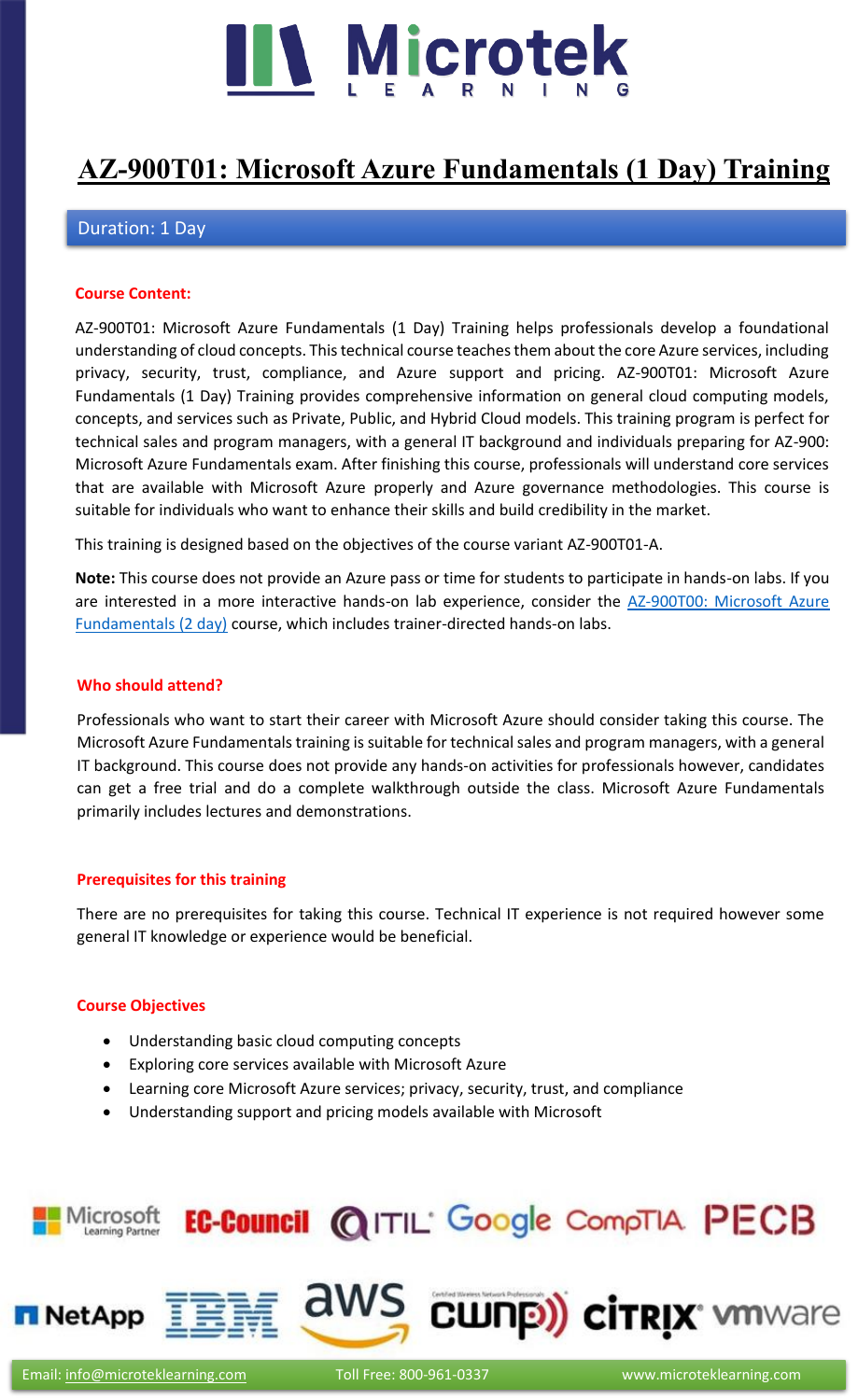

# **[AZ-900T01: Microsoft Azure Fundamentals \(1 Day\) Training](https://www.microteklearning.com/az-900t01-microsoft-azure-fundamentals-training/)**

# Duration: 1 Day

#### **Course Content:**

AZ-900T01: Microsoft Azure Fundamentals (1 Day) Training helps professionals develop a foundational understanding of cloud concepts. This technical course teaches them about the core Azure services, including privacy, security, trust, compliance, and Azure support and pricing. AZ-900T01: Microsoft Azure Fundamentals (1 Day) Training provides comprehensive information on general cloud computing models, concepts, and services such as Private, Public, and Hybrid Cloud models. This training program is perfect for technical sales and program managers, with a general IT background and individuals preparing for AZ-900: Microsoft Azure Fundamentals exam. After finishing this course, professionals will understand core services that are available with Microsoft Azure properly and Azure governance methodologies. This course is suitable for individuals who want to enhance their skills and build credibility in the market.

This training is designed based on the objectives of the course variant AZ-900T01-A.

**Note:** This course does not provide an Azure pass or time for students to participate in hands-on labs. If you are interested in a more interactive hands-on lab experience, consider the [AZ-900T00: Microsoft Azure](https://www.microteklearning.com/az-900t00-microsoft-azure-fundamentals-training/)  [Fundamentals \(2 day\)](https://www.microteklearning.com/az-900t00-microsoft-azure-fundamentals-training/) course, which includes trainer-directed hands-on labs.

#### **Who should attend?**

Professionals who want to start their career with Microsoft Azure should consider taking this course. The Microsoft Azure Fundamentals training is suitable for technical sales and program managers, with a general IT background. This course does not provide any hands-on activities for professionals however, candidates can get a free trial and do a complete walkthrough outside the class. Microsoft Azure Fundamentals primarily includes lectures and demonstrations.

#### **Prerequisites for this training**

There are no prerequisites for taking this course. Technical IT experience is not required however some general IT knowledge or experience would be beneficial.

#### **Course Objectives**

- Understanding basic cloud computing concepts
- Exploring core services available with Microsoft Azure
- Learning core Microsoft Azure services; privacy, security, trust, and compliance
- Understanding support and pricing models available with Microsoft

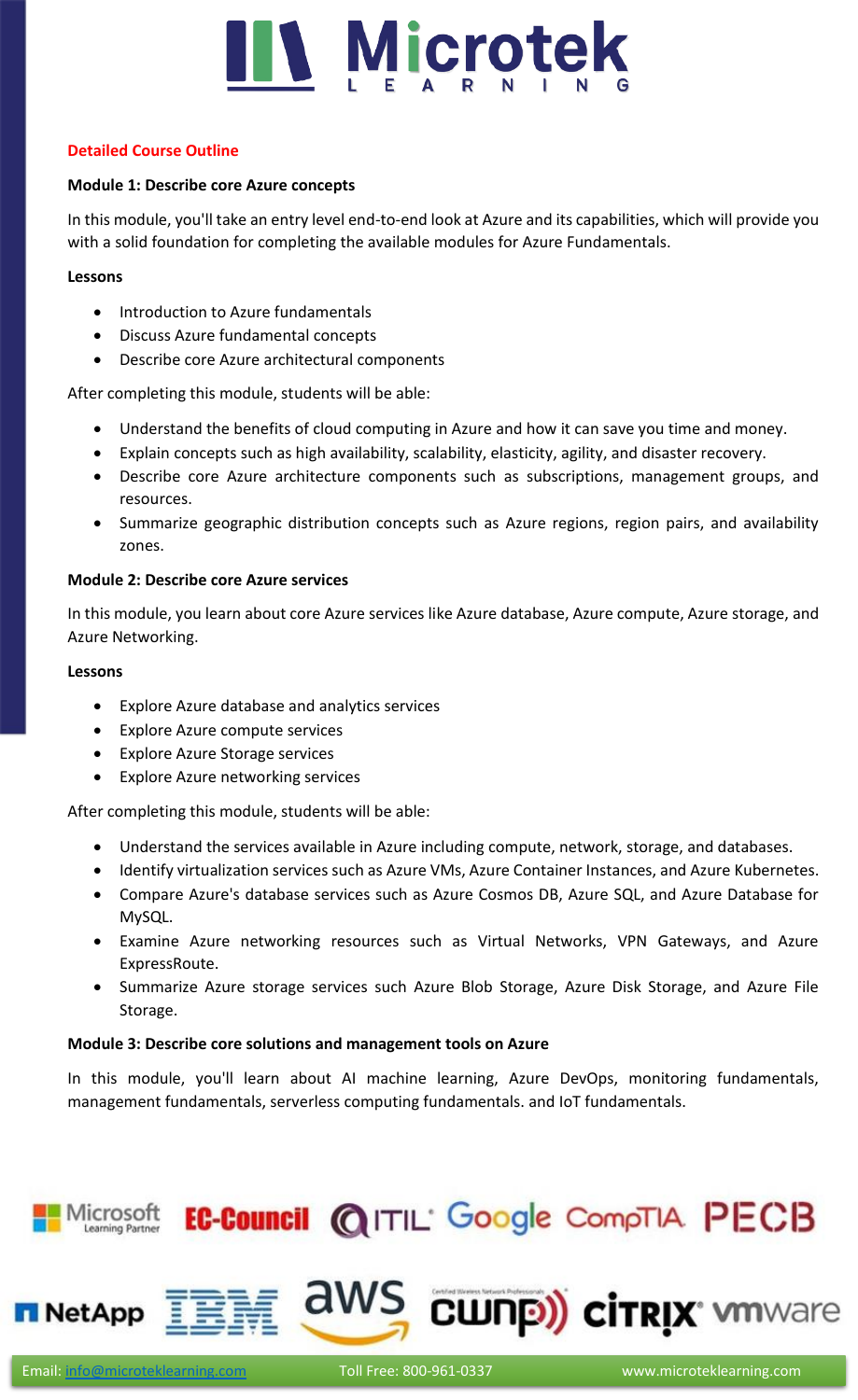

# **Detailed Course Outline**

# **Module 1: Describe core Azure concepts**

In this module, you'll take an entry level end-to-end look at Azure and its capabilities, which will provide you with a solid foundation for completing the available modules for Azure Fundamentals.

# **Lessons**

- Introduction to Azure fundamentals
- Discuss Azure fundamental concepts
- Describe core Azure architectural components

After completing this module, students will be able:

- Understand the benefits of cloud computing in Azure and how it can save you time and money.
- Explain concepts such as high availability, scalability, elasticity, agility, and disaster recovery.
- Describe core Azure architecture components such as subscriptions, management groups, and resources.
- Summarize geographic distribution concepts such as Azure regions, region pairs, and availability zones.

# **Module 2: Describe core Azure services**

In this module, you learn about core Azure services like Azure database, Azure compute, Azure storage, and Azure Networking.

#### **Lessons**

- Explore Azure database and analytics services
- Explore Azure compute services
- Explore Azure Storage services
- Explore Azure networking services

After completing this module, students will be able:

- Understand the services available in Azure including compute, network, storage, and databases.
- Identify virtualization services such as Azure VMs, Azure Container Instances, and Azure Kubernetes.
- Compare Azure's database services such as Azure Cosmos DB, Azure SQL, and Azure Database for MySQL.
- Examine Azure networking resources such as Virtual Networks, VPN Gateways, and Azure ExpressRoute.
- Summarize Azure storage services such Azure Blob Storage, Azure Disk Storage, and Azure File Storage.

# **Module 3: Describe core solutions and management tools on Azure**

In this module, you'll learn about AI machine learning, Azure DevOps, monitoring fundamentals, management fundamentals, serverless computing fundamentals. and IoT fundamentals.

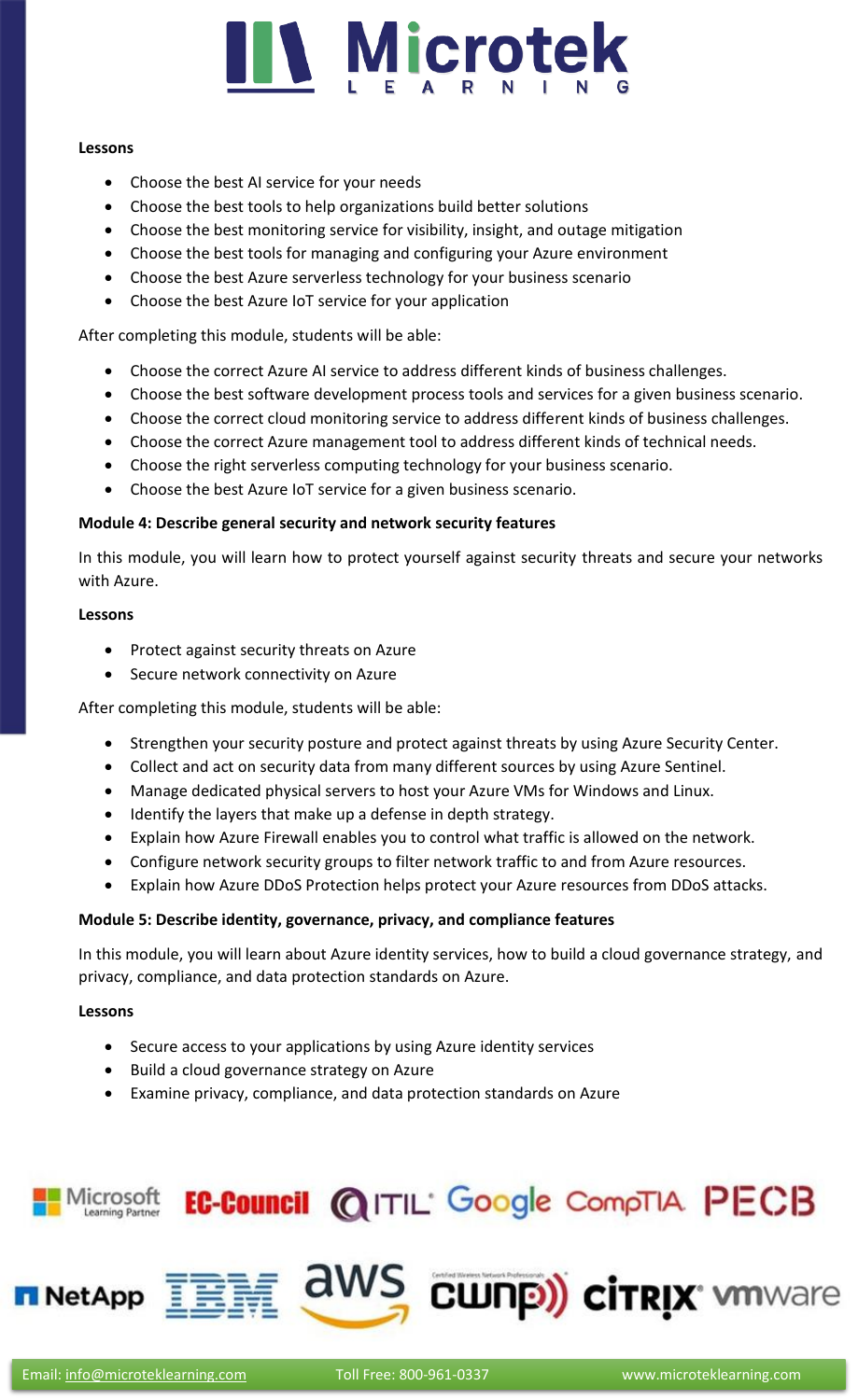

#### **Lessons**

- Choose the best AI service for your needs
- Choose the best tools to help organizations build better solutions
- Choose the best monitoring service for visibility, insight, and outage mitigation
- Choose the best tools for managing and configuring your Azure environment
- Choose the best Azure serverless technology for your business scenario
- Choose the best Azure IoT service for your application

After completing this module, students will be able:

- Choose the correct Azure AI service to address different kinds of business challenges.
- Choose the best software development process tools and services for a given business scenario.
- Choose the correct cloud monitoring service to address different kinds of business challenges.
- Choose the correct Azure management tool to address different kinds of technical needs.
- Choose the right serverless computing technology for your business scenario.
- Choose the best Azure IoT service for a given business scenario.

#### **Module 4: Describe general security and network security features**

In this module, you will learn how to protect yourself against security threats and secure your networks with Azure.

#### **Lessons**

- Protect against security threats on Azure
- Secure network connectivity on Azure

After completing this module, students will be able:

- Strengthen your security posture and protect against threats by using Azure Security Center.
- Collect and act on security data from many different sources by using Azure Sentinel.
- Manage dedicated physical servers to host your Azure VMs for Windows and Linux.
- Identify the layers that make up a defense in depth strategy.
- Explain how Azure Firewall enables you to control what traffic is allowed on the network.
- Configure network security groups to filter network traffic to and from Azure resources.
- Explain how Azure DDoS Protection helps protect your Azure resources from DDoS attacks.

# **Module 5: Describe identity, governance, privacy, and compliance features**

In this module, you will learn about Azure identity services, how to build a cloud governance strategy, and privacy, compliance, and data protection standards on Azure.

#### **Lessons**

- Secure access to your applications by using Azure identity services
- Build a cloud governance strategy on Azure
- Examine privacy, compliance, and data protection standards on Azure